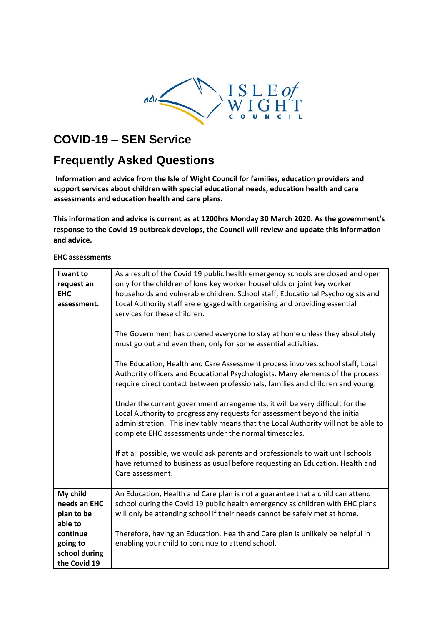

# **COVID-19 – SEN Service**

# **Frequently Asked Questions**

**Information and advice from the Isle of Wight Council for families, education providers and support services about children with special educational needs, education health and care assessments and education health and care plans.** 

**This information and advice is current as at 1200hrs Monday 30 March 2020. As the government's response to the Covid 19 outbreak develops, the Council will review and update this information and advice.**

#### **EHC assessments**

| I want to<br>request an<br><b>EHC</b><br>assessment. | As a result of the Covid 19 public health emergency schools are closed and open<br>only for the children of lone key worker households or joint key worker<br>households and vulnerable children. School staff, Educational Psychologists and<br>Local Authority staff are engaged with organising and providing essential<br>services for these children. |
|------------------------------------------------------|------------------------------------------------------------------------------------------------------------------------------------------------------------------------------------------------------------------------------------------------------------------------------------------------------------------------------------------------------------|
|                                                      | The Government has ordered everyone to stay at home unless they absolutely<br>must go out and even then, only for some essential activities.                                                                                                                                                                                                               |
|                                                      | The Education, Health and Care Assessment process involves school staff, Local<br>Authority officers and Educational Psychologists. Many elements of the process<br>require direct contact between professionals, families and children and young.                                                                                                         |
|                                                      | Under the current government arrangements, it will be very difficult for the<br>Local Authority to progress any requests for assessment beyond the initial<br>administration. This inevitably means that the Local Authority will not be able to<br>complete EHC assessments under the normal timescales.                                                  |
|                                                      | If at all possible, we would ask parents and professionals to wait until schools<br>have returned to business as usual before requesting an Education, Health and<br>Care assessment.                                                                                                                                                                      |
| My child                                             | An Education, Health and Care plan is not a guarantee that a child can attend                                                                                                                                                                                                                                                                              |
| needs an EHC                                         | school during the Covid 19 public health emergency as children with EHC plans                                                                                                                                                                                                                                                                              |
| plan to be                                           | will only be attending school if their needs cannot be safely met at home.                                                                                                                                                                                                                                                                                 |
| able to<br>continue                                  | Therefore, having an Education, Health and Care plan is unlikely be helpful in                                                                                                                                                                                                                                                                             |
| going to                                             | enabling your child to continue to attend school.                                                                                                                                                                                                                                                                                                          |
| school during                                        |                                                                                                                                                                                                                                                                                                                                                            |
| the Covid 19                                         |                                                                                                                                                                                                                                                                                                                                                            |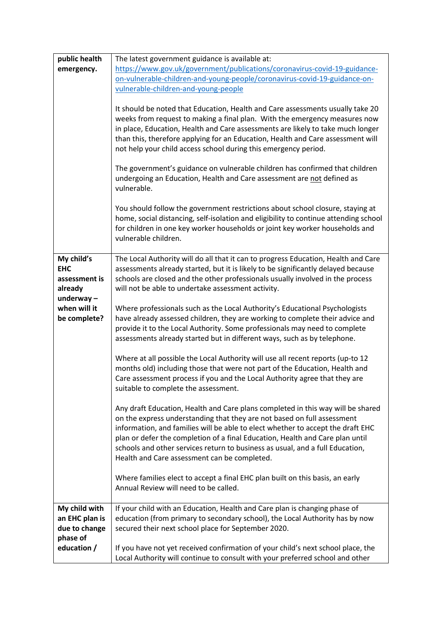| public health                | The latest government guidance is available at:                                                                                                                                                                                                                                                                                                                                                                                                                 |
|------------------------------|-----------------------------------------------------------------------------------------------------------------------------------------------------------------------------------------------------------------------------------------------------------------------------------------------------------------------------------------------------------------------------------------------------------------------------------------------------------------|
| emergency.                   | https://www.gov.uk/government/publications/coronavirus-covid-19-guidance-                                                                                                                                                                                                                                                                                                                                                                                       |
|                              | on-vulnerable-children-and-young-people/coronavirus-covid-19-guidance-on-                                                                                                                                                                                                                                                                                                                                                                                       |
|                              | vulnerable-children-and-young-people                                                                                                                                                                                                                                                                                                                                                                                                                            |
|                              | It should be noted that Education, Health and Care assessments usually take 20<br>weeks from request to making a final plan. With the emergency measures now<br>in place, Education, Health and Care assessments are likely to take much longer<br>than this, therefore applying for an Education, Health and Care assessment will<br>not help your child access school during this emergency period.                                                           |
|                              | The government's guidance on vulnerable children has confirmed that children<br>undergoing an Education, Health and Care assessment are not defined as<br>vulnerable.                                                                                                                                                                                                                                                                                           |
|                              | You should follow the government restrictions about school closure, staying at<br>home, social distancing, self-isolation and eligibility to continue attending school<br>for children in one key worker households or joint key worker households and<br>vulnerable children.                                                                                                                                                                                  |
| My child's                   | The Local Authority will do all that it can to progress Education, Health and Care                                                                                                                                                                                                                                                                                                                                                                              |
| <b>EHC</b>                   | assessments already started, but it is likely to be significantly delayed because                                                                                                                                                                                                                                                                                                                                                                               |
| assessment is                | schools are closed and the other professionals usually involved in the process                                                                                                                                                                                                                                                                                                                                                                                  |
| already                      | will not be able to undertake assessment activity.                                                                                                                                                                                                                                                                                                                                                                                                              |
| underway $-$                 |                                                                                                                                                                                                                                                                                                                                                                                                                                                                 |
| when will it<br>be complete? | Where professionals such as the Local Authority's Educational Psychologists<br>have already assessed children, they are working to complete their advice and<br>provide it to the Local Authority. Some professionals may need to complete<br>assessments already started but in different ways, such as by telephone.                                                                                                                                          |
|                              | Where at all possible the Local Authority will use all recent reports (up-to 12<br>months old) including those that were not part of the Education, Health and<br>Care assessment process if you and the Local Authority agree that they are<br>suitable to complete the assessment.                                                                                                                                                                            |
|                              | Any draft Education, Health and Care plans completed in this way will be shared<br>on the express understanding that they are not based on full assessment<br>information, and families will be able to elect whether to accept the draft EHC<br>plan or defer the completion of a final Education, Health and Care plan until<br>schools and other services return to business as usual, and a full Education,<br>Health and Care assessment can be completed. |
|                              | Where families elect to accept a final EHC plan built on this basis, an early<br>Annual Review will need to be called.                                                                                                                                                                                                                                                                                                                                          |
| My child with                | If your child with an Education, Health and Care plan is changing phase of                                                                                                                                                                                                                                                                                                                                                                                      |
| an EHC plan is               | education (from primary to secondary school), the Local Authority has by now                                                                                                                                                                                                                                                                                                                                                                                    |
| due to change                | secured their next school place for September 2020.                                                                                                                                                                                                                                                                                                                                                                                                             |
| phase of                     |                                                                                                                                                                                                                                                                                                                                                                                                                                                                 |
| education /                  | If you have not yet received confirmation of your child's next school place, the<br>Local Authority will continue to consult with your preferred school and other                                                                                                                                                                                                                                                                                               |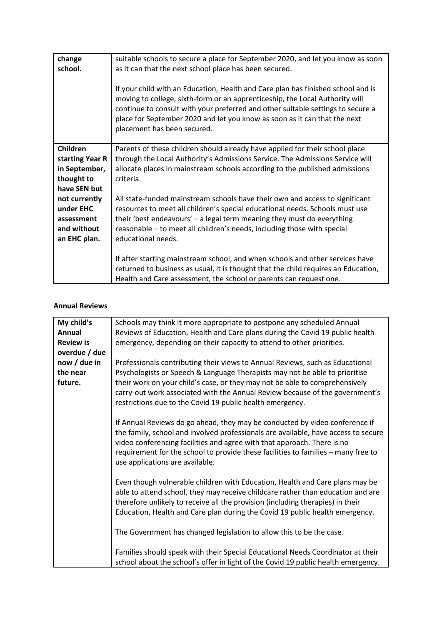| change<br>school.                                                                                                                     | suitable schools to secure a place for September 2020, and let you know as soon<br>as it can that the next school place has been secured.<br>If your child with an Education, Health and Care plan has finished school and is<br>moving to college, sixth-form or an apprenticeship, the Local Authority will<br>continue to consult with your preferred and other suitable settings to secure a<br>place for September 2020 and let you know as soon as it can that the next<br>placement has been secured.                                                                   |
|---------------------------------------------------------------------------------------------------------------------------------------|--------------------------------------------------------------------------------------------------------------------------------------------------------------------------------------------------------------------------------------------------------------------------------------------------------------------------------------------------------------------------------------------------------------------------------------------------------------------------------------------------------------------------------------------------------------------------------|
| Children<br>starting Year R<br>in September,<br>thought to<br>have SEN but<br>not currently<br>under EHC<br>assessment<br>and without | Parents of these children should already have applied for their school place<br>through the Local Authority's Admissions Service. The Admissions Service will<br>allocate places in mainstream schools according to the published admissions<br>criteria.<br>All state-funded mainstream schools have their own and access to significant<br>resources to meet all children's special educational needs. Schools must use<br>their 'best endeavours' - a legal term meaning they must do everything<br>reasonable - to meet all children's needs, including those with special |
| an EHC plan.                                                                                                                          | educational needs.<br>If after starting mainstream school, and when schools and other services have<br>returned to business as usual, it is thought that the child requires an Education,<br>Health and Care assessment, the school or parents can request one.                                                                                                                                                                                                                                                                                                                |

#### **Annual Reviews**

| My child's       | Schools may think it more appropriate to postpone any scheduled Annual                                                                                                                                                                                                                                                                                               |
|------------------|----------------------------------------------------------------------------------------------------------------------------------------------------------------------------------------------------------------------------------------------------------------------------------------------------------------------------------------------------------------------|
| Annual           | Reviews of Education, Health and Care plans during the Covid 19 public health                                                                                                                                                                                                                                                                                        |
| <b>Review is</b> | emergency, depending on their capacity to attend to other priorities.                                                                                                                                                                                                                                                                                                |
| overdue / due    |                                                                                                                                                                                                                                                                                                                                                                      |
| now / due in     | Professionals contributing their views to Annual Reviews, such as Educational                                                                                                                                                                                                                                                                                        |
| the near         | Psychologists or Speech & Language Therapists may not be able to prioritise                                                                                                                                                                                                                                                                                          |
| future.          | their work on your child's case, or they may not be able to comprehensively<br>carry-out work associated with the Annual Review because of the government's<br>restrictions due to the Covid 19 public health emergency.                                                                                                                                             |
|                  | If Annual Reviews do go ahead, they may be conducted by video conference if<br>the family, school and involved professionals are available, have access to secure<br>video conferencing facilities and agree with that approach. There is no<br>requirement for the school to provide these facilities to families - many free to<br>use applications are available. |
|                  | Even though vulnerable children with Education, Health and Care plans may be<br>able to attend school, they may receive childcare rather than education and are<br>therefore unlikely to receive all the provision (including therapies) in their<br>Education, Health and Care plan during the Covid 19 public health emergency.                                    |
|                  | The Government has changed legislation to allow this to be the case.                                                                                                                                                                                                                                                                                                 |
|                  | Families should speak with their Special Educational Needs Coordinator at their<br>school about the school's offer in light of the Covid 19 public health emergency.                                                                                                                                                                                                 |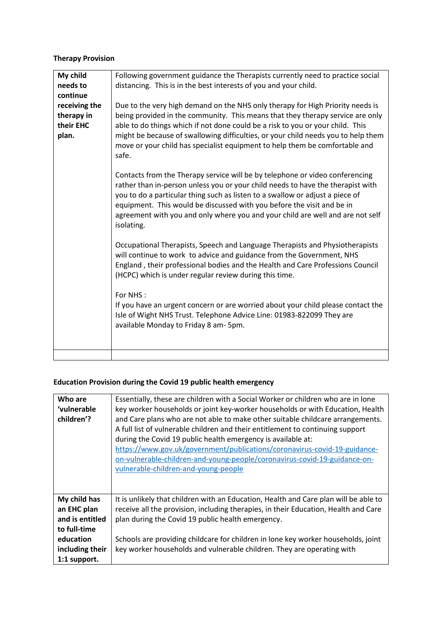# **Therapy Provision**

| My child<br>needs to<br>continue                  | Following government guidance the Therapists currently need to practice social<br>distancing. This is in the best interests of you and your child.                                                                                                                                                                                                                                                                              |
|---------------------------------------------------|---------------------------------------------------------------------------------------------------------------------------------------------------------------------------------------------------------------------------------------------------------------------------------------------------------------------------------------------------------------------------------------------------------------------------------|
| receiving the<br>therapy in<br>their EHC<br>plan. | Due to the very high demand on the NHS only therapy for High Priority needs is<br>being provided in the community. This means that they therapy service are only<br>able to do things which if not done could be a risk to you or your child. This<br>might be because of swallowing difficulties, or your child needs you to help them<br>move or your child has specialist equipment to help them be comfortable and<br>safe. |
|                                                   | Contacts from the Therapy service will be by telephone or video conferencing<br>rather than in-person unless you or your child needs to have the therapist with<br>you to do a particular thing such as listen to a swallow or adjust a piece of<br>equipment. This would be discussed with you before the visit and be in<br>agreement with you and only where you and your child are well and are not self<br>isolating.      |
|                                                   | Occupational Therapists, Speech and Language Therapists and Physiotherapists<br>will continue to work to advice and guidance from the Government, NHS<br>England, their professional bodies and the Health and Care Professions Council<br>(HCPC) which is under regular review during this time.                                                                                                                               |
|                                                   | For NHS:<br>If you have an urgent concern or are worried about your child please contact the<br>Isle of Wight NHS Trust. Telephone Advice Line: 01983-822099 They are<br>available Monday to Friday 8 am-5pm.                                                                                                                                                                                                                   |
|                                                   |                                                                                                                                                                                                                                                                                                                                                                                                                                 |

# **Education Provision during the Covid 19 public health emergency**

| Who are<br>'vulnerable<br>children'?                           | Essentially, these are children with a Social Worker or children who are in lone<br>key worker households or joint key-worker households or with Education, Health<br>and Care plans who are not able to make other suitable childcare arrangements.<br>A full list of vulnerable children and their entitlement to continuing support<br>during the Covid 19 public health emergency is available at:<br>https://www.gov.uk/government/publications/coronavirus-covid-19-guidance-<br>on-vulnerable-children-and-young-people/coronavirus-covid-19-guidance-on-<br>vulnerable-children-and-young-people |
|----------------------------------------------------------------|----------------------------------------------------------------------------------------------------------------------------------------------------------------------------------------------------------------------------------------------------------------------------------------------------------------------------------------------------------------------------------------------------------------------------------------------------------------------------------------------------------------------------------------------------------------------------------------------------------|
| My child has<br>an EHC plan<br>and is entitled<br>to full-time | It is unlikely that children with an Education, Health and Care plan will be able to<br>receive all the provision, including therapies, in their Education, Health and Care<br>plan during the Covid 19 public health emergency.                                                                                                                                                                                                                                                                                                                                                                         |
| education<br>including their<br>1:1 support.                   | Schools are providing childcare for children in lone key worker households, joint<br>key worker households and vulnerable children. They are operating with                                                                                                                                                                                                                                                                                                                                                                                                                                              |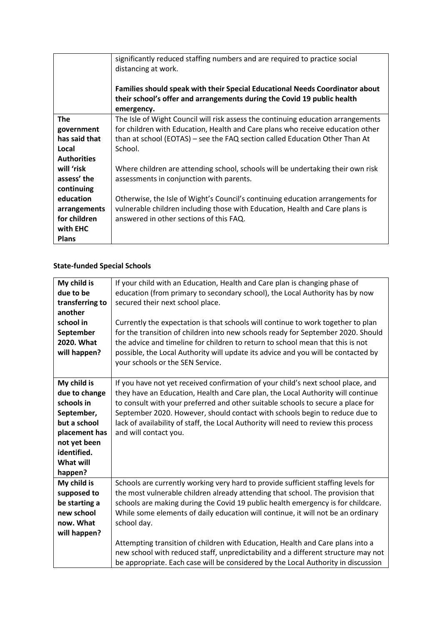|                    | significantly reduced staffing numbers and are required to practice social<br>distancing at work.<br>Families should speak with their Special Educational Needs Coordinator about |
|--------------------|-----------------------------------------------------------------------------------------------------------------------------------------------------------------------------------|
|                    | their school's offer and arrangements during the Covid 19 public health<br>emergency.                                                                                             |
| <b>The</b>         | The Isle of Wight Council will risk assess the continuing education arrangements                                                                                                  |
| government         | for children with Education, Health and Care plans who receive education other                                                                                                    |
| has said that      | than at school (EOTAS) – see the FAQ section called Education Other Than At                                                                                                       |
| Local              | School.                                                                                                                                                                           |
| <b>Authorities</b> |                                                                                                                                                                                   |
| will 'risk         | Where children are attending school, schools will be undertaking their own risk                                                                                                   |
| assess' the        | assessments in conjunction with parents.                                                                                                                                          |
| continuing         |                                                                                                                                                                                   |
| education          | Otherwise, the Isle of Wight's Council's continuing education arrangements for                                                                                                    |
| arrangements       | vulnerable children including those with Education, Health and Care plans is                                                                                                      |
| for children       | answered in other sections of this FAQ.                                                                                                                                           |
| with EHC           |                                                                                                                                                                                   |
| <b>Plans</b>       |                                                                                                                                                                                   |

# **State-funded Special Schools**

| My child is     | If your child with an Education, Health and Care plan is changing phase of          |
|-----------------|-------------------------------------------------------------------------------------|
| due to be       | education (from primary to secondary school), the Local Authority has by now        |
| transferring to | secured their next school place.                                                    |
| another         |                                                                                     |
| school in       | Currently the expectation is that schools will continue to work together to plan    |
| September       | for the transition of children into new schools ready for September 2020. Should    |
| 2020. What      | the advice and timeline for children to return to school mean that this is not      |
| will happen?    | possible, the Local Authority will update its advice and you will be contacted by   |
|                 | your schools or the SEN Service.                                                    |
|                 |                                                                                     |
| My child is     | If you have not yet received confirmation of your child's next school place, and    |
| due to change   | they have an Education, Health and Care plan, the Local Authority will continue     |
| schools in      | to consult with your preferred and other suitable schools to secure a place for     |
| September,      | September 2020. However, should contact with schools begin to reduce due to         |
| but a school    | lack of availability of staff, the Local Authority will need to review this process |
| placement has   | and will contact you.                                                               |
| not yet been    |                                                                                     |
| identified.     |                                                                                     |
| What will       |                                                                                     |
| happen?         |                                                                                     |
| My child is     | Schools are currently working very hard to provide sufficient staffing levels for   |
| supposed to     | the most vulnerable children already attending that school. The provision that      |
| be starting a   | schools are making during the Covid 19 public health emergency is for childcare.    |
| new school      | While some elements of daily education will continue, it will not be an ordinary    |
| now. What       | school day.                                                                         |
| will happen?    |                                                                                     |
|                 | Attempting transition of children with Education, Health and Care plans into a      |
|                 | new school with reduced staff, unpredictability and a different structure may not   |
|                 | be appropriate. Each case will be considered by the Local Authority in discussion   |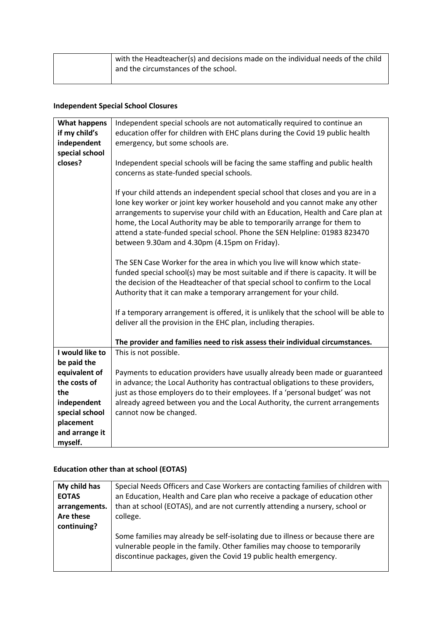| with the Headteacher(s) and decisions made on the individual needs of the child |
|---------------------------------------------------------------------------------|
| and the circumstances of the school.                                            |
|                                                                                 |

# **Independent Special School Closures**

| <b>What happens</b><br>if my child's<br>independent<br>special school | Independent special schools are not automatically required to continue an<br>education offer for children with EHC plans during the Covid 19 public health<br>emergency, but some schools are.                                                                                                                                                                                                                                                                |
|-----------------------------------------------------------------------|---------------------------------------------------------------------------------------------------------------------------------------------------------------------------------------------------------------------------------------------------------------------------------------------------------------------------------------------------------------------------------------------------------------------------------------------------------------|
| closes?                                                               | Independent special schools will be facing the same staffing and public health<br>concerns as state-funded special schools.                                                                                                                                                                                                                                                                                                                                   |
|                                                                       | If your child attends an independent special school that closes and you are in a<br>lone key worker or joint key worker household and you cannot make any other<br>arrangements to supervise your child with an Education, Health and Care plan at<br>home, the Local Authority may be able to temporarily arrange for them to<br>attend a state-funded special school. Phone the SEN Helpline: 01983 823470<br>between 9.30am and 4.30pm (4.15pm on Friday). |
|                                                                       | The SEN Case Worker for the area in which you live will know which state-<br>funded special school(s) may be most suitable and if there is capacity. It will be<br>the decision of the Headteacher of that special school to confirm to the Local<br>Authority that it can make a temporary arrangement for your child.                                                                                                                                       |
|                                                                       | If a temporary arrangement is offered, it is unlikely that the school will be able to<br>deliver all the provision in the EHC plan, including therapies.                                                                                                                                                                                                                                                                                                      |
|                                                                       | The provider and families need to risk assess their individual circumstances.                                                                                                                                                                                                                                                                                                                                                                                 |
| I would like to                                                       | This is not possible.                                                                                                                                                                                                                                                                                                                                                                                                                                         |
| be paid the                                                           |                                                                                                                                                                                                                                                                                                                                                                                                                                                               |
| equivalent of                                                         | Payments to education providers have usually already been made or guaranteed                                                                                                                                                                                                                                                                                                                                                                                  |
| the costs of                                                          | in advance; the Local Authority has contractual obligations to these providers,                                                                                                                                                                                                                                                                                                                                                                               |
| the                                                                   | just as those employers do to their employees. If a 'personal budget' was not                                                                                                                                                                                                                                                                                                                                                                                 |
| independent                                                           | already agreed between you and the Local Authority, the current arrangements                                                                                                                                                                                                                                                                                                                                                                                  |
| special school                                                        | cannot now be changed.                                                                                                                                                                                                                                                                                                                                                                                                                                        |
| placement                                                             |                                                                                                                                                                                                                                                                                                                                                                                                                                                               |
| and arrange it                                                        |                                                                                                                                                                                                                                                                                                                                                                                                                                                               |
| myself.                                                               |                                                                                                                                                                                                                                                                                                                                                                                                                                                               |

# **Education other than at school (EOTAS)**

| My child has  | Special Needs Officers and Case Workers are contacting families of children with                                                                                                                                                  |
|---------------|-----------------------------------------------------------------------------------------------------------------------------------------------------------------------------------------------------------------------------------|
| <b>EOTAS</b>  | an Education, Health and Care plan who receive a package of education other                                                                                                                                                       |
| arrangements. | than at school (EOTAS), and are not currently attending a nursery, school or                                                                                                                                                      |
| Are these     | college.                                                                                                                                                                                                                          |
| continuing?   |                                                                                                                                                                                                                                   |
|               | Some families may already be self-isolating due to illness or because there are<br>vulnerable people in the family. Other families may choose to temporarily<br>discontinue packages, given the Covid 19 public health emergency. |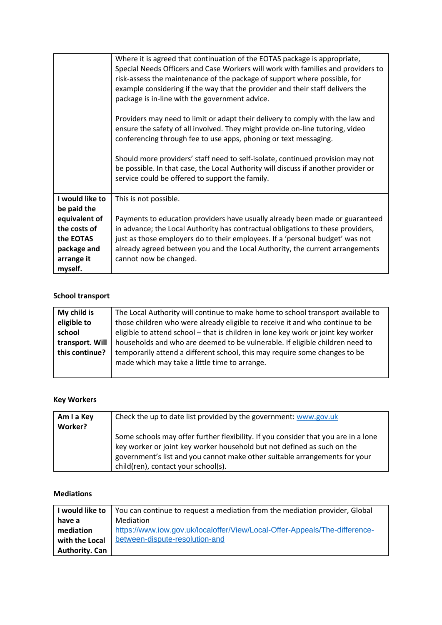|                 | Where it is agreed that continuation of the EOTAS package is appropriate,          |
|-----------------|------------------------------------------------------------------------------------|
|                 | Special Needs Officers and Case Workers will work with families and providers to   |
|                 | risk-assess the maintenance of the package of support where possible, for          |
|                 | example considering if the way that the provider and their staff delivers the      |
|                 | package is in-line with the government advice.                                     |
|                 |                                                                                    |
|                 |                                                                                    |
|                 | Providers may need to limit or adapt their delivery to comply with the law and     |
|                 | ensure the safety of all involved. They might provide on-line tutoring, video      |
|                 | conferencing through fee to use apps, phoning or text messaging.                   |
|                 |                                                                                    |
|                 | Should more providers' staff need to self-isolate, continued provision may not     |
|                 | be possible. In that case, the Local Authority will discuss if another provider or |
|                 | service could be offered to support the family.                                    |
|                 |                                                                                    |
| I would like to | This is not possible.                                                              |
| be paid the     |                                                                                    |
|                 |                                                                                    |
| equivalent of   | Payments to education providers have usually already been made or guaranteed       |
| the costs of    | in advance; the Local Authority has contractual obligations to these providers,    |
| the EOTAS       | just as those employers do to their employees. If a 'personal budget' was not      |
| package and     | already agreed between you and the Local Authority, the current arrangements       |
| arrange it      | cannot now be changed.                                                             |
| myself.         |                                                                                    |

#### **School transport**

| My child is     | The Local Authority will continue to make home to school transport available to                                             |
|-----------------|-----------------------------------------------------------------------------------------------------------------------------|
| eligible to     | those children who were already eligible to receive it and who continue to be                                               |
| school          | eligible to attend school - that is children in lone key work or joint key worker                                           |
| transport. Will | households and who are deemed to be vulnerable. If eligible children need to                                                |
| this continue?  | temporarily attend a different school, this may require some changes to be<br>made which may take a little time to arrange. |
|                 |                                                                                                                             |

## **Key Workers**

| Am I a Key     | Check the up to date list provided by the government: www.gov.uk                   |
|----------------|------------------------------------------------------------------------------------|
| <b>Worker?</b> |                                                                                    |
|                | Some schools may offer further flexibility. If you consider that you are in a lone |
|                | key worker or joint key worker household but not defined as such on the            |
|                | government's list and you cannot make other suitable arrangements for your         |
|                | child(ren), contact your school(s).                                                |

#### **Mediations**

| I would like to       | You can continue to request a mediation from the mediation provider, Global |
|-----------------------|-----------------------------------------------------------------------------|
| have a                | Mediation                                                                   |
| mediation             | https://www.iow.gov.uk/localoffer/View/Local-Offer-Appeals/The-difference-  |
| with the Local        | between-dispute-resolution-and                                              |
| <b>Authority. Can</b> |                                                                             |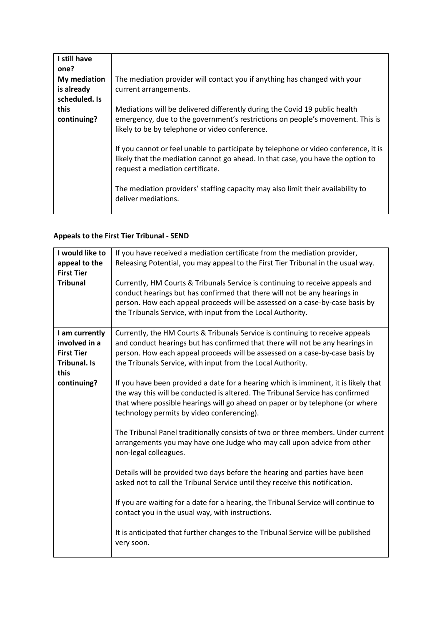| I still have<br>one? |                                                                                     |
|----------------------|-------------------------------------------------------------------------------------|
|                      |                                                                                     |
| My mediation         | The mediation provider will contact you if anything has changed with your           |
| is already           | current arrangements.                                                               |
| scheduled. Is        |                                                                                     |
| this                 | Mediations will be delivered differently during the Covid 19 public health          |
| continuing?          | emergency, due to the government's restrictions on people's movement. This is       |
|                      | likely to be by telephone or video conference.                                      |
|                      |                                                                                     |
|                      | If you cannot or feel unable to participate by telephone or video conference, it is |
|                      | likely that the mediation cannot go ahead. In that case, you have the option to     |
|                      | request a mediation certificate.                                                    |
|                      |                                                                                     |
|                      | The mediation providers' staffing capacity may also limit their availability to     |
|                      | deliver mediations.                                                                 |
|                      |                                                                                     |

## **Appeals to the First Tier Tribunal - SEND**

| If you have received a mediation certificate from the mediation provider,<br>Releasing Potential, you may appeal to the First Tier Tribunal in the usual way.                                                                                                                                                 |
|---------------------------------------------------------------------------------------------------------------------------------------------------------------------------------------------------------------------------------------------------------------------------------------------------------------|
| Currently, HM Courts & Tribunals Service is continuing to receive appeals and<br>conduct hearings but has confirmed that there will not be any hearings in<br>person. How each appeal proceeds will be assessed on a case-by-case basis by<br>the Tribunals Service, with input from the Local Authority.     |
| Currently, the HM Courts & Tribunals Service is continuing to receive appeals<br>and conduct hearings but has confirmed that there will not be any hearings in<br>person. How each appeal proceeds will be assessed on a case-by-case basis by<br>the Tribunals Service, with input from the Local Authority. |
| If you have been provided a date for a hearing which is imminent, it is likely that<br>the way this will be conducted is altered. The Tribunal Service has confirmed<br>that where possible hearings will go ahead on paper or by telephone (or where<br>technology permits by video conferencing).           |
| The Tribunal Panel traditionally consists of two or three members. Under current<br>arrangements you may have one Judge who may call upon advice from other<br>non-legal colleagues.                                                                                                                          |
| Details will be provided two days before the hearing and parties have been<br>asked not to call the Tribunal Service until they receive this notification.                                                                                                                                                    |
| If you are waiting for a date for a hearing, the Tribunal Service will continue to<br>contact you in the usual way, with instructions.                                                                                                                                                                        |
| It is anticipated that further changes to the Tribunal Service will be published<br>very soon.                                                                                                                                                                                                                |
|                                                                                                                                                                                                                                                                                                               |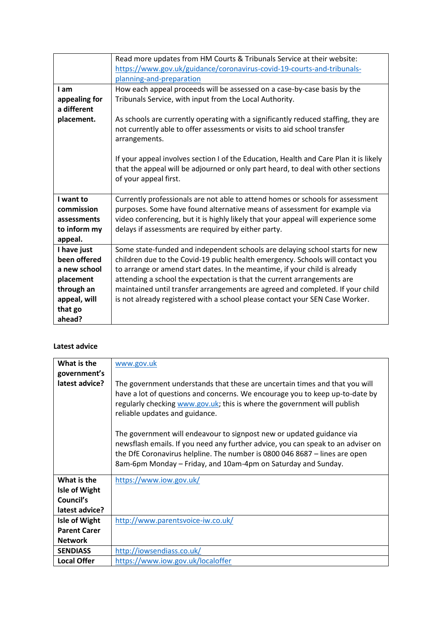|               | Read more updates from HM Courts & Tribunals Service at their website:                                                                                                                              |
|---------------|-----------------------------------------------------------------------------------------------------------------------------------------------------------------------------------------------------|
|               | https://www.gov.uk/guidance/coronavirus-covid-19-courts-and-tribunals-                                                                                                                              |
|               | planning-and-preparation                                                                                                                                                                            |
| I am          | How each appeal proceeds will be assessed on a case-by-case basis by the                                                                                                                            |
| appealing for | Tribunals Service, with input from the Local Authority.                                                                                                                                             |
| a different   |                                                                                                                                                                                                     |
| placement.    | As schools are currently operating with a significantly reduced staffing, they are<br>not currently able to offer assessments or visits to aid school transfer<br>arrangements.                     |
|               | If your appeal involves section I of the Education, Health and Care Plan it is likely<br>that the appeal will be adjourned or only part heard, to deal with other sections<br>of your appeal first. |
| I want to     | Currently professionals are not able to attend homes or schools for assessment                                                                                                                      |
| commission    | purposes. Some have found alternative means of assessment for example via                                                                                                                           |
| assessments   | video conferencing, but it is highly likely that your appeal will experience some                                                                                                                   |
| to inform my  | delays if assessments are required by either party.                                                                                                                                                 |
| appeal.       |                                                                                                                                                                                                     |
| I have just   | Some state-funded and independent schools are delaying school starts for new                                                                                                                        |
| been offered  | children due to the Covid-19 public health emergency. Schools will contact you                                                                                                                      |
| a new school  | to arrange or amend start dates. In the meantime, if your child is already                                                                                                                          |
| placement     | attending a school the expectation is that the current arrangements are                                                                                                                             |
| through an    | maintained until transfer arrangements are agreed and completed. If your child                                                                                                                      |
| appeal, will  | is not already registered with a school please contact your SEN Case Worker.                                                                                                                        |
| that go       |                                                                                                                                                                                                     |
| ahead?        |                                                                                                                                                                                                     |

#### **Latest advice**

| What is the         | www.gov.uk                                                                                                                                                                                                                                                                                               |
|---------------------|----------------------------------------------------------------------------------------------------------------------------------------------------------------------------------------------------------------------------------------------------------------------------------------------------------|
| government's        |                                                                                                                                                                                                                                                                                                          |
| latest advice?      | The government understands that these are uncertain times and that you will<br>have a lot of questions and concerns. We encourage you to keep up-to-date by<br>regularly checking www.gov.uk; this is where the government will publish<br>reliable updates and guidance.                                |
|                     | The government will endeavour to signpost new or updated guidance via<br>newsflash emails. If you need any further advice, you can speak to an adviser on<br>the DfE Coronavirus helpline. The number is 0800 046 8687 - lines are open<br>8am-6pm Monday – Friday, and 10am-4pm on Saturday and Sunday. |
| What is the         | https://www.iow.gov.uk/                                                                                                                                                                                                                                                                                  |
| Isle of Wight       |                                                                                                                                                                                                                                                                                                          |
| Council's           |                                                                                                                                                                                                                                                                                                          |
| latest advice?      |                                                                                                                                                                                                                                                                                                          |
| Isle of Wight       | http://www.parentsvoice-iw.co.uk/                                                                                                                                                                                                                                                                        |
| <b>Parent Carer</b> |                                                                                                                                                                                                                                                                                                          |
| <b>Network</b>      |                                                                                                                                                                                                                                                                                                          |
| <b>SENDIASS</b>     | http://iowsendiass.co.uk/                                                                                                                                                                                                                                                                                |
| <b>Local Offer</b>  | https://www.iow.gov.uk/localoffer                                                                                                                                                                                                                                                                        |